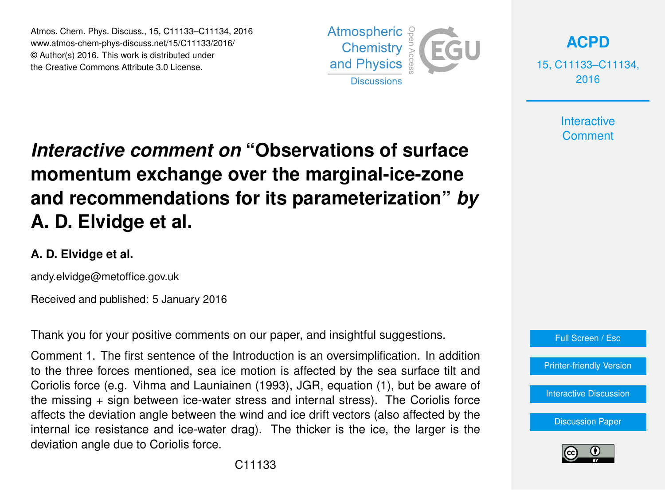Atmos. Chem. Phys. Discuss., 15, C11133–C11134, 2016 www.atmos-chem-phys-discuss.net/15/C11133/2016/ © Author(s) 2016. This work is distributed under the Creative Commons Attribute 3.0 License.



**[ACPD](http://www.atmos-chem-phys-discuss.net)**

15, C11133–C11134, 2016

> **Interactive Comment**

## *Interactive comment on* **"Observations of surface momentum exchange over the marginal-ice-zone and recommendations for its parameterization"** *by* **A. D. Elvidge et al.**

## **A. D. Elvidge et al.**

andy.elvidge@metoffice.gov.uk

Received and published: 5 January 2016

Thank you for your positive comments on our paper, and insightful suggestions.

Comment 1. The first sentence of the Introduction is an oversimplification. In addition to the three forces mentioned, sea ice motion is affected by the sea surface tilt and Coriolis force (e.g. Vihma and Launiainen (1993), JGR, equation (1), but be aware of the missing + sign between ice-water stress and internal stress). The Coriolis force affects the deviation angle between the wind and ice drift vectors (also affected by the internal ice resistance and ice-water drag). The thicker is the ice, the larger is the deviation angle due to Coriolis force.